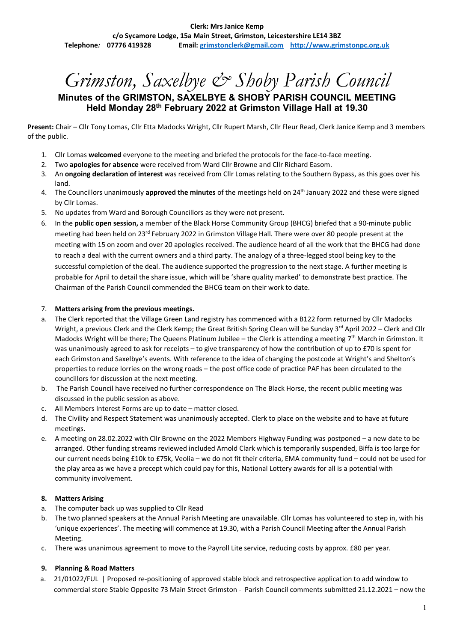**Clerk: Mrs Janice Kemp c/o Sycamore Lodge, 15a Main Street, Grimston, Leicestershire LE14 3BZ Telephone***:* **07776 419328 Email: [grimstonclerk@gmail.com](mailto:grimstonclerk@gmail.com) [http://www.grimstonpc.org.uk](http://www.grimstonpc.org.uk/)**

# *Grimston, Saxelbye & Shoby Parish Council*

## **Minutes of the GRIMSTON, SAXELBYE & SHOBY PARISH COUNCIL MEETING Held Monday 28th February 2022 at Grimston Village Hall at 19.30**

**Present:** Chair – Cllr Tony Lomas, Cllr Etta Madocks Wright, Cllr Rupert Marsh, Cllr Fleur Read, Clerk Janice Kemp and 3 members of the public.

- 1. Cllr Lomas **welcomed** everyone to the meeting and briefed the protocols for the face-to-face meeting.
- 2. Two **apologies for absence** were received from Ward Cllr Browne and Cllr Richard Easom.
- 3. An **ongoing declaration of interest** was received from Cllr Lomas relating to the Southern Bypass, as this goes over his land.
- 4. The Councillors unanimously approved the minutes of the meetings held on 24<sup>th</sup> January 2022 and these were signed by Cllr Lomas.
- 5. No updates from Ward and Borough Councillors as they were not present.
- 6. In the **public open session,** a member of the Black Horse Community Group (BHCG) briefed that a 90-minute public meeting had been held on 23rd February 2022 in Grimston Village Hall. There were over 80 people present at the meeting with 15 on zoom and over 20 apologies received. The audience heard of all the work that the BHCG had done to reach a deal with the current owners and a third party. The analogy of a three-legged stool being key to the successful completion of the deal. The audience supported the progression to the next stage. A further meeting is probable for April to detail the share issue, which will be 'share quality marked' to demonstrate best practice. The Chairman of the Parish Council commended the BHCG team on their work to date.

#### 7. **Matters arising from the previous meetings.**

- a. The Clerk reported that the Village Green Land registry has commenced with a B122 form returned by Cllr Madocks Wright, a previous Clerk and the Clerk Kemp; the Great British Spring Clean will be Sunday 3<sup>rd</sup> April 2022 – Clerk and Cllr Madocks Wright will be there; The Queens Platinum Jubilee - the Clerk is attending a meeting 7<sup>th</sup> March in Grimston. It was unanimously agreed to ask for receipts – to give transparency of how the contribution of up to £70 is spent for each Grimston and Saxelbye's events. With reference to the idea of changing the postcode at Wright's and Shelton's properties to reduce lorries on the wrong roads – the post office code of practice PAF has been circulated to the councillors for discussion at the next meeting.
- b. The Parish Council have received no further correspondence on The Black Horse, the recent public meeting was discussed in the public session as above.
- c. All Members Interest Forms are up to date matter closed.
- d. The Civility and Respect Statement was unanimously accepted. Clerk to place on the website and to have at future meetings.
- e. A meeting on 28.02.2022 with Cllr Browne on the 2022 Members Highway Funding was postponed a new date to be arranged. Other funding streams reviewed included Arnold Clark which is temporarily suspended, Biffa is too large for our current needs being £10k to £75k, Veolia – we do not fit their criteria, EMA community fund – could not be used for the play area as we have a precept which could pay for this, National Lottery awards for all is a potential with community involvement.

#### **8. Matters Arising**

- a. The computer back up was supplied to Cllr Read
- b. The two planned speakers at the Annual Parish Meeting are unavailable. Cllr Lomas has volunteered to step in, with his 'unique experiences'. The meeting will commence at 19.30, with a Parish Council Meeting after the Annual Parish Meeting.
- c. There was unanimous agreement to move to the Payroll Lite service, reducing costs by approx. £80 per year.

#### **9. Planning & Road Matters**

a. 21/01022/FUL | Proposed re-positioning of approved stable block and retrospective application to add window to commercial store Stable Opposite 73 Main Street Grimston - Parish Council comments submitted 21.12.2021 – now the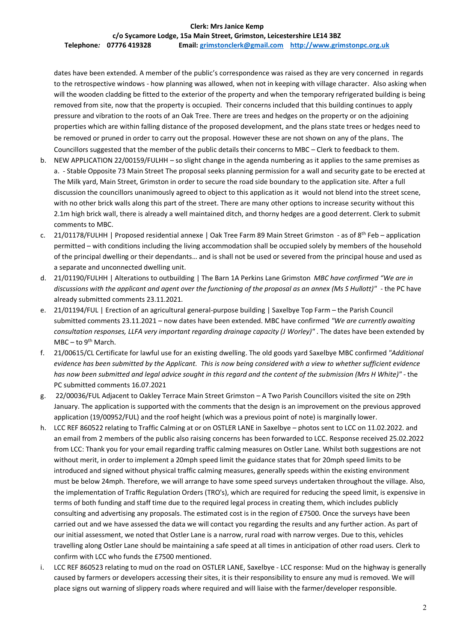## **Clerk: Mrs Janice Kemp**

**c/o Sycamore Lodge, 15a Main Street, Grimston, Leicestershire LE14 3BZ Telephone***:* **07776 419328 Email: [grimstonclerk@gmail.com](mailto:grimstonclerk@gmail.com) [http://www.grimstonpc.org.uk](http://www.grimstonpc.org.uk/)**

dates have been extended. A member of the public's correspondence was raised as they are very concerned in regards to the retrospective windows - how planning was allowed, when not in keeping with village character. Also asking when will the wooden cladding be fitted to the exterior of the property and when the temporary refrigerated building is being removed from site, now that the property is occupied. Their concerns included that this building continues to apply pressure and vibration to the roots of an Oak Tree. There are trees and hedges on the property or on the adjoining properties which are within falling distance of the proposed development, and the plans state trees or hedges need to be removed or pruned in order to carry out the proposal. However these are not shown on any of the plans. The Councillors suggested that the member of the public details their concerns to MBC – Clerk to feedback to them.

- b. NEW APPLICATION 22/00159/FULHH so slight change in the agenda numbering as it applies to the same premises as a. - Stable Opposite 73 Main Street The proposal seeks planning permission for a wall and security gate to be erected at The Milk yard, Main Street, Grimston in order to secure the road side boundary to the application site. After a full discussion the councillors unanimously agreed to object to this application as it would not blend into the street scene, with no other brick walls along this part of the street. There are many other options to increase security without this 2.1m high brick wall, there is already a well maintained ditch, and thorny hedges are a good deterrent. Clerk to submit comments to MBC.
- c. 21/01178/FULHH | Proposed residential annexe | Oak Tree Farm 89 Main Street Grimston as of 8<sup>th</sup> Feb application permitted – with conditions including the living accommodation shall be occupied solely by members of the household of the principal dwelling or their dependants… and is shall not be used or severed from the principal house and used as a separate and unconnected dwelling unit.
- d. 21/01190/FULHH | Alterations to outbuilding | The Barn 1A Perkins Lane Grimston *MBC have confirmed "We are in discussions with the applicant and agent over the functioning of the proposal as an annex (Ms S Hullott)"* - the PC have already submitted comments 23.11.2021.
- e. 21/01194/FUL | Erection of an agricultural general-purpose building | Saxelbye Top Farm the Parish Council submitted comments 23.11.2021 – now dates have been extended. MBC have confirmed *"We are currently awaiting consultation responses, LLFA very important regarding drainage capacity (J Worley)"* . The dates have been extended by  $MBC - to 9<sup>th</sup> March.$
- f. 21/00615/CL Certificate for lawful use for an existing dwelling. The old goods yard Saxelbye MBC confirmed *"Additional evidence has been submitted by the Applicant. This is now being considered with a view to whether sufficient evidence has now been submitted and legal advice sought in this regard and the content of the submission (Mrs H White)" -* the PC submitted comments 16.07.2021
- g. 22/00036/FUL Adjacent to Oakley Terrace Main Street Grimston A Two Parish Councillors visited the site on 29th January. The application is supported with the comments that the design is an improvement on the previous approved application (19/00952/FUL) and the roof height (which was a previous point of note) is marginally lower.
- h. LCC REF 860522 relating to Traffic Calming at or on OSTLER LANE in Saxelbye photos sent to LCC on 11.02.2022. and an email from 2 members of the public also raising concerns has been forwarded to LCC. Response received 25.02.2022 from LCC: Thank you for your email regarding traffic calming measures on Ostler Lane. Whilst both suggestions are not without merit, in order to implement a 20mph speed limit the guidance states that for 20mph speed limits to be introduced and signed without physical traffic calming measures, generally speeds within the existing environment must be below 24mph. Therefore, we will arrange to have some speed surveys undertaken throughout the village. Also, the implementation of Traffic Regulation Orders (TRO's), which are required for reducing the speed limit, is expensive in terms of both funding and staff time due to the required legal process in creating them, which includes publicly consulting and advertising any proposals. The estimated cost is in the region of £7500. Once the surveys have been carried out and we have assessed the data we will contact you regarding the results and any further action. As part of our initial assessment, we noted that Ostler Lane is a narrow, rural road with narrow verges. Due to this, vehicles travelling along Ostler Lane should be maintaining a safe speed at all times in anticipation of other road users. Clerk to confirm with LCC who funds the £7500 mentioned.
- i. LCC REF 860523 relating to mud on the road on OSTLER LANE, Saxelbye LCC response: Mud on the highway is generally caused by farmers or developers accessing their sites, it is their responsibility to ensure any mud is removed. We will place signs out warning of slippery roads where required and will liaise with the farmer/developer responsible.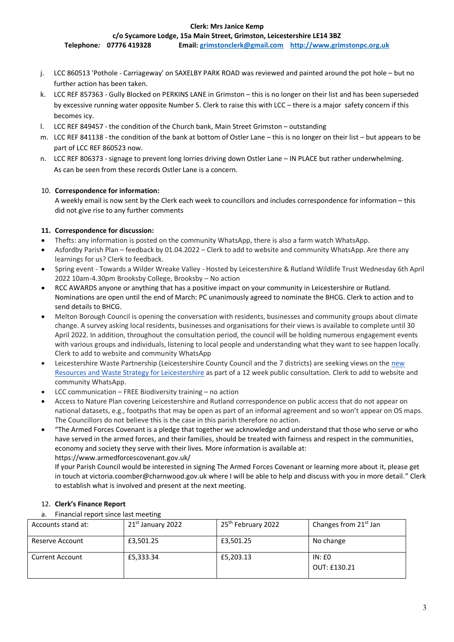#### **Clerk: Mrs Janice Kemp**

**c/o Sycamore Lodge, 15a Main Street, Grimston, Leicestershire LE14 3BZ**

**Telephone***:* **07776 419328 Email: [grimstonclerk@gmail.com](mailto:grimstonclerk@gmail.com) [http://www.grimstonpc.org.uk](http://www.grimstonpc.org.uk/)**

- j. LCC 860513 'Pothole Carriageway' on SAXELBY PARK ROAD was reviewed and painted around the pot hole but no further action has been taken.
- k. LCC REF 857363 Gully Blocked on PERKINS LANE in Grimston this is no longer on their list and has been superseded by excessive running water opposite Number 5. Clerk to raise this with LCC – there is a major safety concern if this becomes icy.
- l. LCC REF 849457 the condition of the Church bank, Main Street Grimston outstanding
- m. LCC REF 841138 the condition of the bank at bottom of Ostler Lane this is no longer on their list but appears to be part of LCC REF 860523 now.
- n. LCC REF 806373 signage to prevent long lorries driving down Ostler Lane IN PLACE but rather underwhelming. As can be seen from these records Ostler Lane is a concern.

#### 10. **Correspondence for information:**

A weekly email is now sent by the Clerk each week to councillors and includes correspondence for information – this did not give rise to any further comments

#### **11. Correspondence for discussion:**

- Thefts: any information is posted on the community WhatsApp, there is also a farm watch WhatsApp.
- Asfordby Parish Plan feedback by 01.04.2022 Clerk to add to website and community WhatsApp. Are there any learnings for us? Clerk to feedback.
- Spring event Towards a Wilder Wreake Valley Hosted by Leicestershire & Rutland Wildlife Trust Wednesday 6th April 2022 10am-4.30pm Brooksby College, Brooksby – No action
- RCC AWARDS anyone or anything that has a positive impact on your community in Leicestershire or Rutland. Nominations are open until the end of March: PC unanimously agreed to nominate the BHCG. Clerk to action and to send details to BHCG.
- Melton Borough Council is opening the conversation with residents, businesses and community groups about climate change. A survey asking local residents, businesses and organisations for their views is available to complete until 30 April 2022. In addition, throughout the consultation period, the council will be holding numerous engagement events with various groups and individuals, listening to local people and understanding what they want to see happen locally. Clerk to add to website and community WhatsApp
- Leicestershire Waste Partnership (Leicestershire County Council and the 7 districts) are seeking views on the new [Resources and Waste Strategy for Leicestershire](https://www.leicestershire.gov.uk/have-your-say/current-engagement/leicestershires-resources-and-waste-strategy-2022-2050) as part of a 12 week public consultation. Clerk to add to website and community WhatsApp.
- LCC communication  $-$  FREE Biodiversity training  $-$  no action
- Access to Nature Plan covering Leicestershire and Rutland correspondence on public access that do not appear on national datasets, e.g., footpaths that may be open as part of an informal agreement and so won't appear on OS maps. The Councillors do not believe this is the case in this parish therefore no action.
- "The Armed Forces Covenant is a pledge that together we acknowledge and understand that those who serve or who have served in the armed forces, and their families, should be treated with fairness and respect in the communities, economy and society they serve with their lives. More information is available at: https://www.armedforcescovenant.gov.uk/

If your Parish Council would be interested in signing The Armed Forces Covenant or learning more about it, please get in touch at victoria.coomber@charnwood.gov.uk where I will be able to help and discuss with you in more detail." Clerk to establish what is involved and present at the next meeting.

#### 12. **Clerk's Finance Report**

a. Financial report since last meeting

| Accounts stand at:     | 21 <sup>st</sup> January 2022 | 25 <sup>th</sup> February 2022 | Changes from 21 <sup>st</sup> Jan |
|------------------------|-------------------------------|--------------------------------|-----------------------------------|
| Reserve Account        | £3,501.25                     | £3,501.25                      | No change                         |
| <b>Current Account</b> | £5,333.34                     | £5,203.13                      | IN: E0<br>OUT: £130.21            |